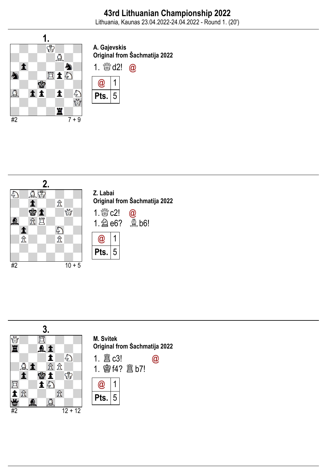

A. Gajevskis Original from Šachmatija 2022





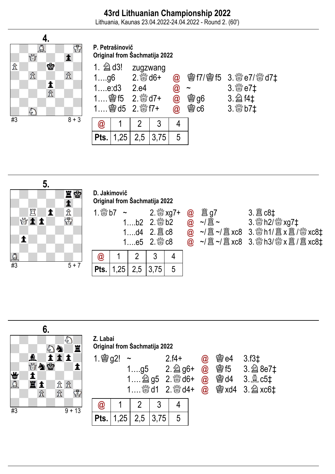Lithuania, Kaunas 23.04.2022-24.04.2022 - Round 2. (60')



P. Petrašinovič Original from Šachmatija 2022

|                 | $1.$ 2 d3!<br>zugzwang<br>$2.$ $\frac{100}{200}$ d6+<br>$1$ g6<br>1e:d3<br>2.e4 |     |      | $\bm{\varpi}$<br>$\bm{\varnothing}$<br>$@{0}$ | <b>鬱 g6</b> | <b>曾f7/曾f5 3. &amp; e7/ &amp; d7‡</b><br>$3.$ $\%$ e7‡<br>3. 2 f4‡ |
|-----------------|---------------------------------------------------------------------------------|-----|------|-----------------------------------------------|-------------|--------------------------------------------------------------------|
| 1 图 d5 2. & f7+ |                                                                                 |     |      | $\bm{\widehat{\omega}}$                       | <b>鬱c6</b>  | $3.$ $\frac{800}{20}$ b7 $\ddagger$                                |
|                 |                                                                                 |     |      |                                               |             |                                                                    |
| $\bm{\omega}$   |                                                                                 |     |      |                                               |             |                                                                    |
| Pts.            | 1,25                                                                            | 2,5 | 3,75 | 5                                             |             |                                                                    |



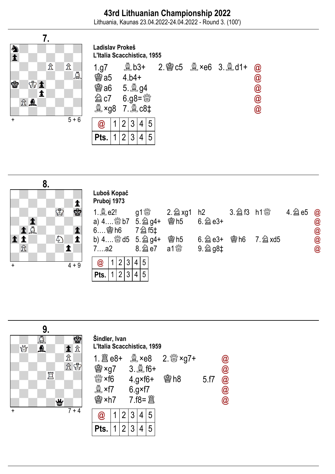Lithuania, Kaunas 23.04.2022-24.04.2022 - Round 3. (100')

Ladislav Prokeš



| L'Italia Scacchistica, 1955 |  |                  |   |  |   |  |  |                                   |                            |  |  |  |
|-----------------------------|--|------------------|---|--|---|--|--|-----------------------------------|----------------------------|--|--|--|
| 1.g7                        |  | $Q_{\rm L}$ b3+  |   |  |   |  |  | 2. @ $c5 \& x \neq 6$ 3. $\& d1+$ | $\bm{\varpi}$              |  |  |  |
| <b>@a5</b> 4.b4+            |  |                  |   |  |   |  |  |                                   | $\bm{\textcircled{a}}$     |  |  |  |
|                             |  | <b>鬱a6 5. g4</b> |   |  |   |  |  |                                   | $\bm{\textcircled{\it 0}}$ |  |  |  |
|                             |  | <b>②c7 6.g8=</b> |   |  |   |  |  |                                   | $\bm{\textcircled{\it 0}}$ |  |  |  |
| 奠 ×g8 7. 鱼 c8‡              |  |                  |   |  |   |  |  |                                   | $\bm{\textcircled{a}}$     |  |  |  |
| $\bm{\omega}$               |  |                  | 3 |  | 5 |  |  |                                   |                            |  |  |  |
| Pts.                        |  |                  |   |  |   |  |  |                                   |                            |  |  |  |

|                          | 8.                                                 |                                                         |                                                           |           |               |            |        |                            |
|--------------------------|----------------------------------------------------|---------------------------------------------------------|-----------------------------------------------------------|-----------|---------------|------------|--------|----------------------------|
|                          |                                                    | Luboš Kopač<br>Pruboj 1973                              |                                                           |           |               |            |        |                            |
|                          | 土雪<br>♔                                            | 1. <b>A</b> e2!<br>a) $4$ $807$ $5.$ $294+$             |                                                           |           | $6.\n  2$ e3+ |            | $4.\n$ | $\circledR$<br>$\circleda$ |
| 1A<br>$\hat{\mathbb{Z}}$ | $\blacktriangle$<br>$\bigcirc$<br>$\blacktriangle$ | $6$ \$ h6<br>b) 4 3 d5 5. 2 g4+<br>7a2                  | 7 2 15‡                                                   | 會h5<br>a1 | 9. 2 g8‡      | <b>魯h6</b> |        | <b>@</b><br>@              |
| $\ddot{}$                | $4 + 9$                                            | 3<br>$\overline{2}$<br>@<br>$\overline{2}$<br>3<br>Pts. | $5\overline{5}$<br>4 <sup>1</sup><br>5<br>$\vert 4 \vert$ |           |               |            |        |                            |

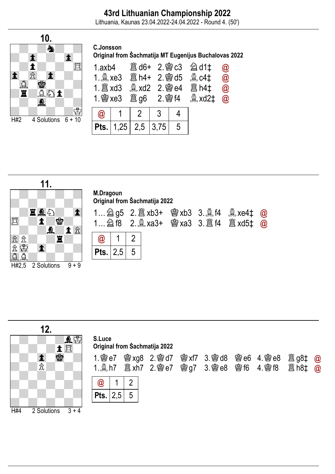Lithuania, Kaunas 23.04.2022-24.04.2022 - Round 4. (50')



| C.Jonsson |                                                       |  |  |
|-----------|-------------------------------------------------------|--|--|
|           | Original from Šachmatija MT Eugenijus Buchalovas 2022 |  |  |
|           |                                                       |  |  |

| 1.axb4 |                                 |  | <b>簋d6+ 2. 窗c3 2d1t</b><br>$\mathbb{R}$ xd2 $\ddagger$ | $\bm{\varpi}$<br>$\bar{\bm{\omega}}$<br>$\bar{\bm{\omega}}$<br>$\overline{\omega}$ |
|--------|---------------------------------|--|--------------------------------------------------------|------------------------------------------------------------------------------------|
|        |                                 |  |                                                        |                                                                                    |
|        | <b>Pts.</b>   1,25   2,5   3,75 |  |                                                        |                                                                                    |



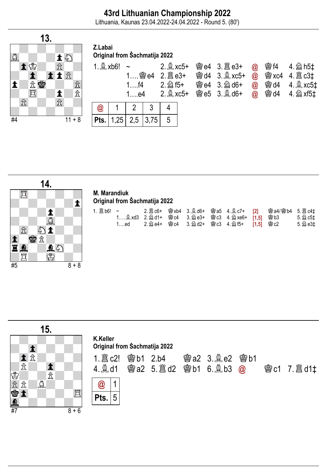Lithuania, Kaunas 23.04.2022-24.04.2022 - Round 5. (80')



#### Z.Labai Original from Šachmatija 2022

| 1. $\&$ xb6! ~<br>$1$ f4<br>$1$ ….e4 |                                          | $2.2$ xc5+ |  | <b>彎e4 3. 圖e3+ @ 彎f4 4. @ h5‡</b><br>彎d4 3. $\&$ xc5+ @ 彎 xc4 4. $\&$ c3‡<br><b>鬱e4 3. @ d6+</b><br>彎e5 3. $\triangleq$ d6+ @ 彎 d4 4. $\triangleq$ xf5‡ |  | $\omega$ @ d4 4. xc5 $\pm$ |  |
|--------------------------------------|------------------------------------------|------------|--|---------------------------------------------------------------------------------------------------------------------------------------------------------|--|----------------------------|--|
|                                      | $\omega$   1   2   3                     |            |  |                                                                                                                                                         |  |                            |  |
|                                      | $ $ Pts. $ $ 1,25 $ $ 2,5 $ $ 3,75 $ $ 5 |            |  |                                                                                                                                                         |  |                            |  |



#### M. Marandiuk Original from Šachmatija 2022

| 1….ed |  |  |  | 5. 2 e3‡ |
|-------|--|--|--|----------|